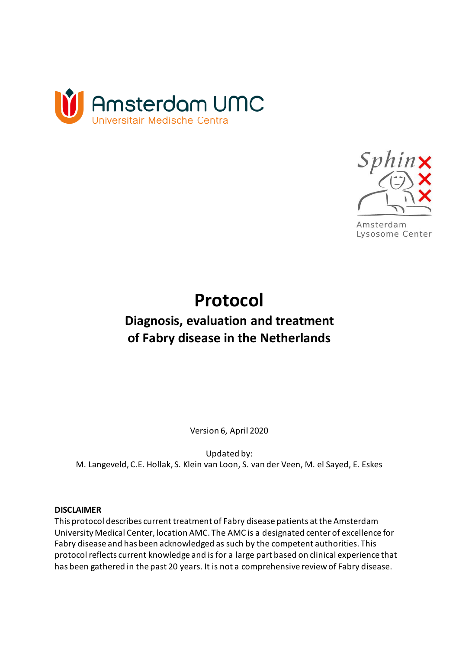



Amsterdam Lysosome Center

# **Protocol Diagnosis, evaluation and treatment of Fabry disease in the Netherlands**

Version 6, April 2020

Updated by: M. Langeveld, C.E. Hollak, S. Klein van Loon, S. van der Veen, M. el Sayed, E. Eskes

#### **DISCLAIMER**

This protocol describes current treatment of Fabry disease patients at the Amsterdam University Medical Center, location AMC. The AMC is a designated center of excellence for Fabry disease and has been acknowledged as such by the competent authorities. This protocol reflects current knowledge and is for a large part based on clinical experience that has been gathered in the past 20 years. It is not a comprehensive review of Fabry disease.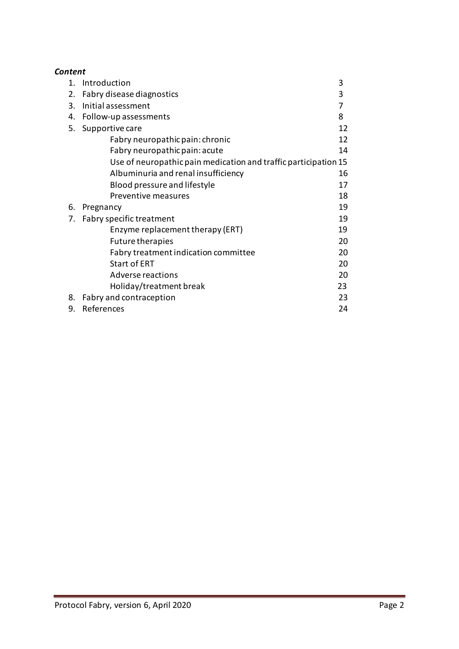| Content     |                                                                 |    |
|-------------|-----------------------------------------------------------------|----|
| $1_{\cdot}$ | Introduction                                                    | 3  |
| 2.          | Fabry disease diagnostics                                       | 3  |
| 3.          | Initial assessment                                              | 7  |
| 4.          | Follow-up assessments                                           | 8  |
| 5.          | Supportive care                                                 | 12 |
|             | Fabry neuropathic pain: chronic                                 | 12 |
|             | Fabry neuropathic pain: acute                                   | 14 |
|             | Use of neuropathic pain medication and traffic participation 15 |    |
|             | Albuminuria and renal insufficiency                             | 16 |
|             | Blood pressure and lifestyle                                    | 17 |
|             | Preventive measures                                             | 18 |
| 6.          | Pregnancy                                                       | 19 |
| 7.          | Fabry specific treatment                                        | 19 |
|             | Enzyme replacement therapy (ERT)                                | 19 |
|             | <b>Future therapies</b>                                         | 20 |
|             | Fabry treatment indication committee                            | 20 |
|             | <b>Start of ERT</b>                                             | 20 |
|             | Adverse reactions                                               | 20 |
|             | Holiday/treatment break                                         | 23 |
| 8.          | Fabry and contraception                                         | 23 |
| 9.          | References                                                      | 24 |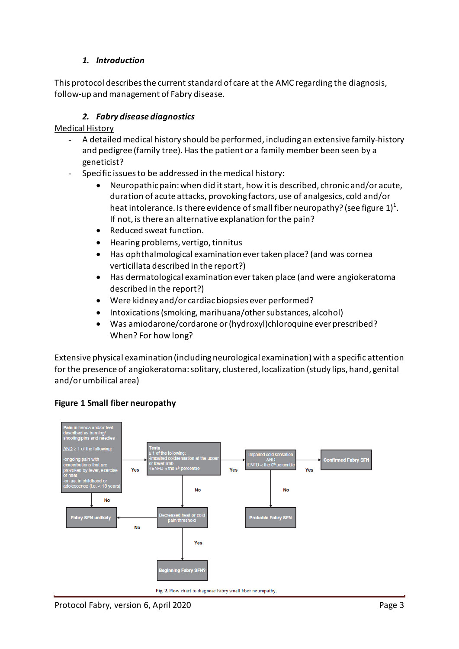## *1. Introduction*

This protocol describes the current standard of care at the AMC regarding the diagnosis, follow-up and management of Fabry disease.

## *2. Fabry disease diagnostics*

Medical History

- A detailed medical history should be performed, including an extensive family-history and pedigree (family tree). Has the patient or a family member been seen by a geneticist?
- Specific issues to be addressed in the medical history:
	- Neuropathic pain: when did it start, how it is described, chronic and/or acute, duration of acute attacks, provoking factors, use of analgesics, cold and/or heat intolerance. Is there evidence of small fiber neuropathy? (see figure  $1)^{1}$ . If not, is there an alternative explanation for the pain?
	- Reduced sweat function.
	- Hearing problems, vertigo, tinnitus
	- Has ophthalmological examination ever taken place? (and was cornea verticillata described in the report?)
	- Has dermatological examination ever taken place (and were angiokeratoma described in the report?)
	- Were kidney and/or cardiac biopsies ever performed?
	- Intoxications (smoking, marihuana/other substances, alcohol)
	- Was amiodarone/cordarone or (hydroxyl)chloroquine ever prescribed? When? For how long?

Extensive physical examination(including neurological examination) with a specific attention for the presence of angiokeratoma: solitary, clustered, localization (study lips, hand, genital and/or umbilical area)



## **Figure 1 Small fiber neuropathy**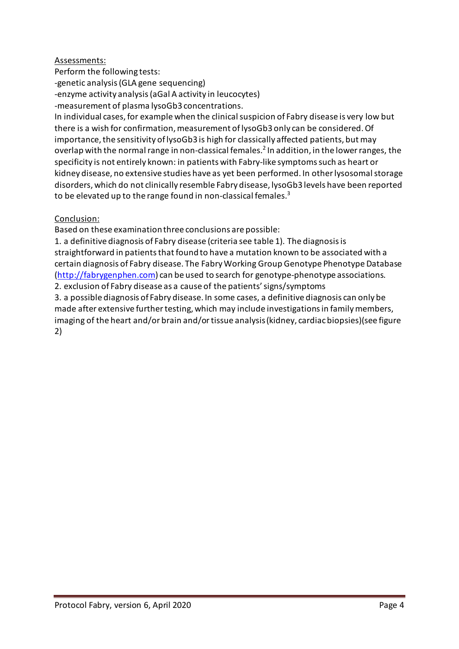#### Assessments:

Perform the following tests:

-genetic analysis (GLA gene sequencing)

-enzyme activity analysis (aGal A activity in leucocytes)

-measurement of plasma lysoGb3 concentrations.

In individual cases, for example when the clinical suspicion of Fabry disease is very low but there is a wish for confirmation, measurement of lysoGb3 only can be considered.Of importance, the sensitivity of lysoGb3 is high for classically affected patients, but may overlap with the normal range in non-classical females.<sup>2</sup> In addition, in the lower ranges, the specificity is not entirely known: in patients with Fabry-like symptoms such as heart or kidney disease, no extensive studies have as yet been performed. In other lysosomal storage disorders, which do not clinically resemble Fabry disease, lysoGb3 levels have been reported to be elevated up to the range found in non-classical females. $3$ 

## Conclusion:

Based on these examination three conclusions are possible:

1. a definitive diagnosis of Fabry disease (criteria see table 1). The diagnosis is straightforward in patients that found to have a mutation known to be associated with a certain diagnosis of Fabry disease. The Fabry Working Group Genotype Phenotype Database [\(http://fabrygenphen.com\)](http://fabrygenphen.com/) can be used to search for genotype-phenotype associations. 2. exclusion of Fabry disease as a cause of the patients'signs/symptoms

3. a possible diagnosis of Fabry disease. In some cases, a definitive diagnosis can only be made after extensive further testing, which may include investigations in family members, imaging of the heart and/or brain and/or tissue analysis (kidney, cardiac biopsies) (see figure 2)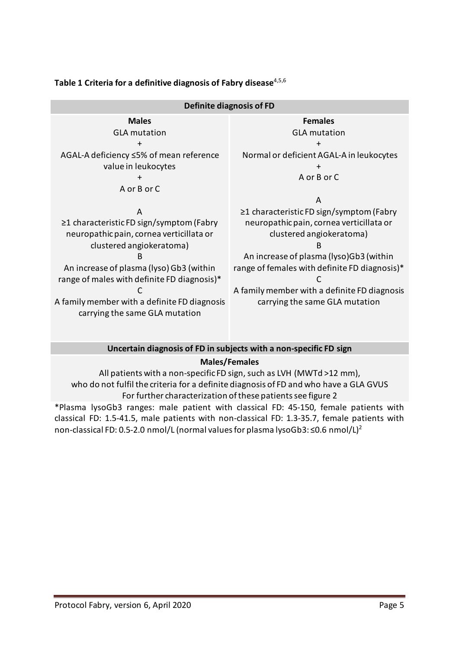| Definite diagnosis of FD                       |                                                |  |  |
|------------------------------------------------|------------------------------------------------|--|--|
| <b>Males</b>                                   | <b>Females</b>                                 |  |  |
| <b>GLA</b> mutation                            | <b>GLA mutation</b>                            |  |  |
| $\ddot{}$                                      | $\ddot{}$                                      |  |  |
| AGAL-A deficiency ≤5% of mean reference        | Normal or deficient AGAL-A in leukocytes       |  |  |
| value in leukocytes                            |                                                |  |  |
| ╉                                              | A or B or C                                    |  |  |
| A or B or C                                    |                                                |  |  |
|                                                | A                                              |  |  |
| A                                              | $\geq$ 1 characteristic FD sign/symptom (Fabry |  |  |
| $\geq$ 1 characteristic FD sign/symptom (Fabry | neuropathic pain, cornea verticillata or       |  |  |
| neuropathic pain, cornea verticillata or       | clustered angiokeratoma)                       |  |  |
| clustered angiokeratoma)                       | B                                              |  |  |
| B                                              | An increase of plasma (lyso)Gb3 (within        |  |  |
| An increase of plasma (lyso) Gb3 (within       | range of females with definite FD diagnosis)*  |  |  |
| range of males with definite FD diagnosis)*    |                                                |  |  |
|                                                | A family member with a definite FD diagnosis   |  |  |
| A family member with a definite FD diagnosis   | carrying the same GLA mutation                 |  |  |
| carrying the same GLA mutation                 |                                                |  |  |
|                                                |                                                |  |  |

## **Table 1 Criteria for a definitive diagnosis of Fabry disease**4,5,6

#### **Uncertain diagnosis of FD in subjects with a non-specific FD sign**

#### **Males/Females**

All patients with a non-specific FD sign, such as LVH (MWTd >12 mm), who do not fulfil the criteria for a definite diagnosis of FD and who have a GLA GVUS For further characterization of these patients see figure 2 \*Plasma lysoGb3 ranges: male patient with classical FD: 45-150, female patients with

classical FD: 1.5-41.5, male patients with non-classical FD: 1.3-35.7, female patients with non-classical FD: 0.5-2.0 nmol/L (normal values for plasma lysoGb3: ≤0.6 nmol/L)<sup>2</sup>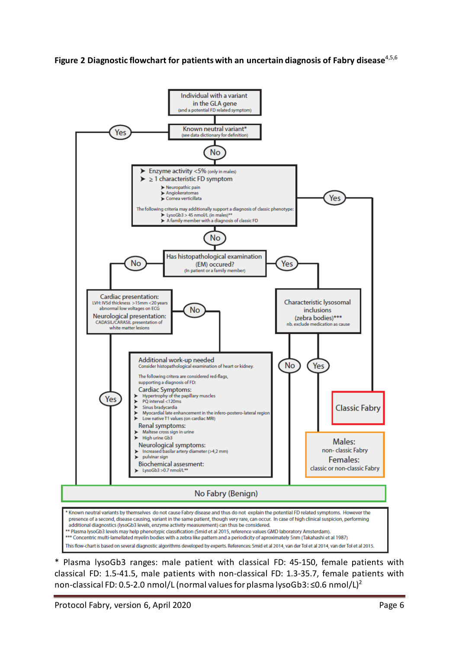



\* Plasma lysoGb3 ranges: male patient with classical FD: 45-150, female patients with classical FD: 1.5-41.5, male patients with non-classical FD: 1.3-35.7, female patients with non-classical FD: 0.5-2.0 nmol/L (normal values for plasma lysoGb3: ≤0.6 nmol/L)<sup>2</sup>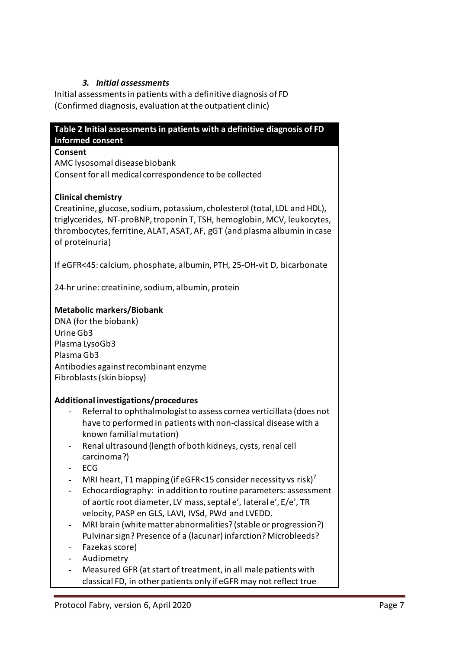## *3. Initial assessments*

Initial assessments in patients with a definitive diagnosis of FD (Confirmed diagnosis, evaluation at the outpatient clinic)

| Table 2 Initial assessments in patients with a definitive diagnosis of FD<br><b>Informed consent</b>                                                                                                                                                                                                                                                                                                                                                                                                                                                                                                                                                                                                             |
|------------------------------------------------------------------------------------------------------------------------------------------------------------------------------------------------------------------------------------------------------------------------------------------------------------------------------------------------------------------------------------------------------------------------------------------------------------------------------------------------------------------------------------------------------------------------------------------------------------------------------------------------------------------------------------------------------------------|
| Consent<br>AMC lysosomal disease biobank<br>Consent for all medical correspondence to be collected                                                                                                                                                                                                                                                                                                                                                                                                                                                                                                                                                                                                               |
| <b>Clinical chemistry</b><br>Creatinine, glucose, sodium, potassium, cholesterol (total, LDL and HDL),<br>triglycerides, NT-proBNP, troponin T, TSH, hemoglobin, MCV, leukocytes,<br>thrombocytes, ferritine, ALAT, ASAT, AF, gGT (and plasma albumin in case<br>of proteinuria)                                                                                                                                                                                                                                                                                                                                                                                                                                 |
| If eGFR<45: calcium, phosphate, albumin, PTH, 25-OH-vit D, bicarbonate                                                                                                                                                                                                                                                                                                                                                                                                                                                                                                                                                                                                                                           |
| 24-hr urine: creatinine, sodium, albumin, protein                                                                                                                                                                                                                                                                                                                                                                                                                                                                                                                                                                                                                                                                |
| <b>Metabolic markers/Biobank</b><br>DNA (for the biobank)<br>Urine Gb3<br>Plasma LysoGb3<br>Plasma Gb3<br>Antibodies against recombinant enzyme<br>Fibroblasts (skin biopsy)                                                                                                                                                                                                                                                                                                                                                                                                                                                                                                                                     |
| Additional investigations/procedures<br>Referral to ophthalmologist to assess cornea verticillata (does not<br>have to performed in patients with non-classical disease with a<br>known familial mutation)<br>Renal ultrasound (length of both kidneys, cysts, renal cell<br>carcinoma?)<br>ECG<br>MRI heart, T1 mapping (if eGFR<15 consider necessity vs risk) <sup>7</sup><br>Echocardiography: in addition to routine parameters: assessment<br>of aortic root diameter, LV mass, septal e', lateral e', E/e', TR<br>velocity, PASP en GLS, LAVI, IVSd, PWd and LVEDD.<br>MRI brain (white matter abnormalities? (stable or progression?)<br>Pulvinar sign? Presence of a (lacunar) infarction? Microbleeds? |

- Fazekas score)
- Audiometry
- Measured GFR (at start of treatment, in all male patients with classical FD, in other patients only if eGFR may not reflect true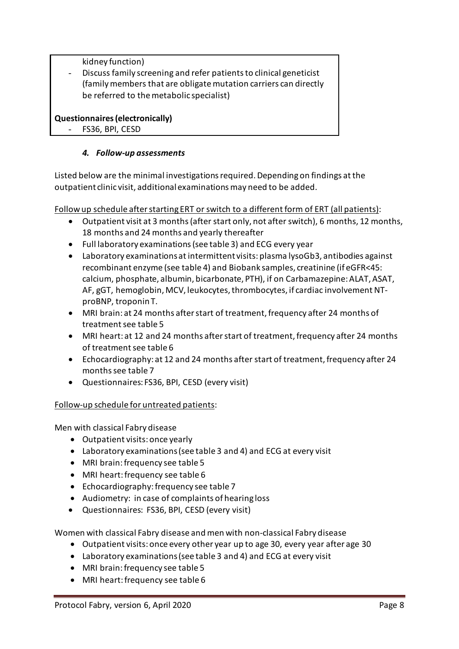kidney function)

Discuss family screening and refer patients to clinical geneticist (family members that are obligate mutation carriers can directly be referred to the metabolic specialist)

#### **Questionnaires(electronically)**

FS36, BPI, CESD

## *4. Follow-up assessments*

Listed below are the minimal investigations required. Depending on findings at the outpatient clinic visit, additional examinations may need to be added.

Follow up schedule after starting ERT or switch to a different form of ERT (all patients):

- Outpatient visit at 3 months(after start only, not after switch), 6 months, 12 months, 18 months and 24 months and yearly thereafter
- Full laboratory examinations(see table 3) and ECG every year
- Laboratory examinations at intermittent visits: plasma lysoGb3, antibodies against recombinant enzyme (see table 4) and Biobank samples, creatinine (if eGFR<45: calcium, phosphate, albumin, bicarbonate, PTH), if on Carbamazepine: ALAT, ASAT, AF, gGT, hemoglobin, MCV, leukocytes, thrombocytes, if cardiac involvement NTproBNP, troponin T.
- MRI brain: at 24 months after start of treatment, frequency after 24 months of treatment see table 5
- MRI heart: at 12 and 24 months after start of treatment, frequency after 24 months of treatment see table 6
- Echocardiography: at 12 and 24 months after start of treatment, frequency after 24 monthssee table 7
- Questionnaires: FS36, BPI, CESD (every visit)

#### Follow-up schedule for untreated patients:

Men with classical Fabry disease

- Outpatient visits: once yearly
- Laboratory examinations(see table 3 and 4) and ECG at every visit
- MRI brain: frequency see table 5
- MRI heart: frequency see table 6
- Echocardiography: frequency see table 7
- Audiometry: in case of complaints of hearing loss
- Questionnaires: FS36, BPI, CESD (every visit)

Women with classical Fabry disease and men with non-classical Fabry disease

- Outpatient visits: once every other year up to age 30, every year after age 30
- Laboratory examinations(see table 3 and 4) and ECG at every visit
- MRI brain: frequency see table 5
- MRI heart: frequency see table 6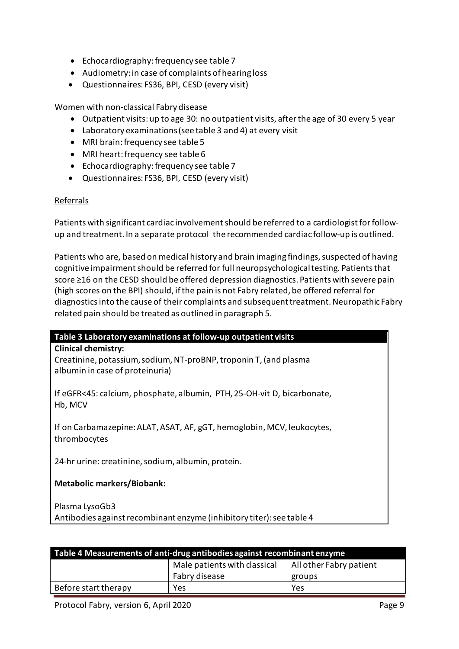- Echocardiography: frequency see table 7
- Audiometry: in case of complaints of hearing loss
- Questionnaires: FS36, BPI, CESD (every visit)

Women with non-classical Fabry disease

- Outpatient visits: up to age 30: no outpatient visits, after the age of 30 every 5 year
- Laboratory examinations (see table 3 and 4) at every visit
- MRI brain: frequency see table 5
- MRI heart: frequency see table 6
- Echocardiography: frequency see table 7
- Questionnaires: FS36, BPI, CESD (every visit)

#### Referrals

Patients with significant cardiac involvement should be referred to a cardiologist for followup and treatment. In a separate protocol the recommended cardiac follow-up is outlined.

Patients who are, based on medical history and brain imaging findings, suspected of having cognitive impairment should be referred for full neuropsychological testing. Patients that score ≥16 on the CESD should be offered depression diagnostics. Patients with severe pain (high scores on the BPI) should, if the pain is not Fabry related, be offered referral for diagnostics into the cause of their complaints and subsequent treatment. Neuropathic Fabry related pain should be treated as outlined in paragraph 5.

| Table 3 Laboratory examinations at follow-up outpatient visits                                       |  |  |
|------------------------------------------------------------------------------------------------------|--|--|
| <b>Clinical chemistry:</b>                                                                           |  |  |
| Creatinine, potassium, sodium, NT-proBNP, troponin T, (and plasma<br>albumin in case of proteinuria) |  |  |
| If eGFR<45: calcium, phosphate, albumin, PTH, 25-OH-vit D, bicarbonate,<br>Hb, MCV                   |  |  |
| If on Carbamazepine: ALAT, ASAT, AF, gGT, hemoglobin, MCV, leukocytes,<br>thrombocytes               |  |  |
| 24-hr urine: creatinine, sodium, albumin, protein.                                                   |  |  |
| <b>Metabolic markers/Biobank:</b>                                                                    |  |  |
| Plasma LysoGb3                                                                                       |  |  |

| Table 4 Measurements of anti-drug antibodies against recombinant enzyme |                              |                         |  |
|-------------------------------------------------------------------------|------------------------------|-------------------------|--|
|                                                                         | Male patients with classical | All other Fabry patient |  |
|                                                                         | Fabry disease                | groups                  |  |
| Before start therapy                                                    | Yes                          | Yes                     |  |

Antibodies against recombinant enzyme (inhibitory titer): see table 4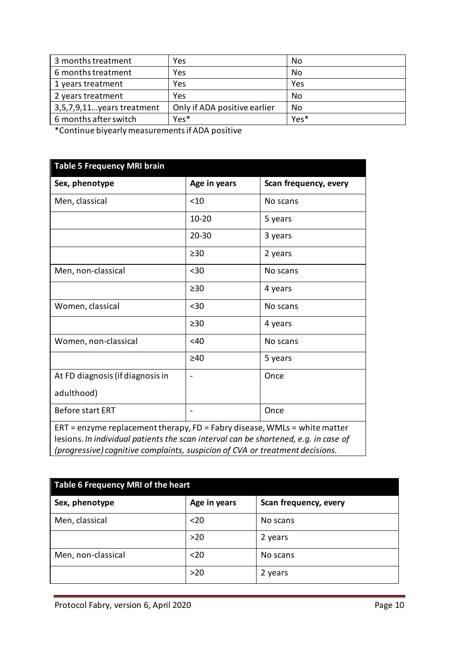| 3 months treatment         | Yes                          | No   |
|----------------------------|------------------------------|------|
| 6 months treatment         | Yes                          | No.  |
| 1 years treatment          | Yes                          | Yes  |
| 2 years treatment          | Yes                          | No.  |
| 3,5,7,9,11 years treatment | Only if ADA positive earlier | No   |
| 6 months after switch      | Yes <sup>*</sup>             | Yes* |

\*Continue biyearly measurements if ADA positive

| <b>Table 5 Frequency MRI brain</b>                                                                                                                                                                                                                 |              |                       |
|----------------------------------------------------------------------------------------------------------------------------------------------------------------------------------------------------------------------------------------------------|--------------|-----------------------|
| Sex, phenotype                                                                                                                                                                                                                                     | Age in years | Scan frequency, every |
| Men, classical                                                                                                                                                                                                                                     | < 10         | No scans              |
|                                                                                                                                                                                                                                                    | $10 - 20$    | 5 years               |
|                                                                                                                                                                                                                                                    | $20 - 30$    | 3 years               |
|                                                                                                                                                                                                                                                    | $\geq 30$    | 2 years               |
| Men, non-classical                                                                                                                                                                                                                                 | $30$         | No scans              |
|                                                                                                                                                                                                                                                    | $\geq 30$    | 4 years               |
| Women, classical                                                                                                                                                                                                                                   | $30$         | No scans              |
|                                                                                                                                                                                                                                                    | >30          | 4 years               |
| Women, non-classical                                                                                                                                                                                                                               | <40          | No scans              |
|                                                                                                                                                                                                                                                    | $\geq 40$    | 5 years               |
| At FD diagnosis (if diagnosis in                                                                                                                                                                                                                   |              | Once                  |
| adulthood)                                                                                                                                                                                                                                         |              |                       |
| <b>Before start ERT</b>                                                                                                                                                                                                                            |              | Once                  |
| $ERT = enzyme replacement$ therapy, FD = Fabry disease, WMLs = white matter<br>lesions. In individual patients the scan interval can be shortened, e.g. in case of<br>(progressive) cognitive complaints, suspicion of CVA or treatment decisions. |              |                       |

| Table 6 Frequency MRI of the heart |              |                       |  |
|------------------------------------|--------------|-----------------------|--|
| Sex, phenotype                     | Age in years | Scan frequency, every |  |
| Men, classical                     | $20$         | No scans              |  |
|                                    | $>20$        | 2 years               |  |
| Men, non-classical                 | $20$         | No scans              |  |
|                                    | $>20$        | 2 years               |  |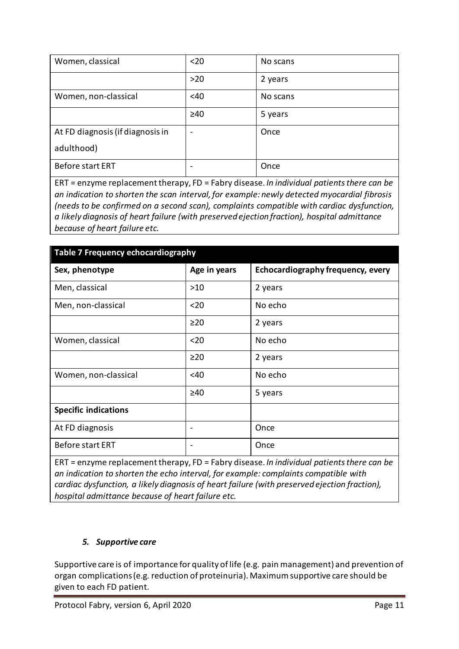| Women, classical                 | $20$                     | No scans |
|----------------------------------|--------------------------|----------|
|                                  | $>20$                    | 2 years  |
| Women, non-classical             | <40                      | No scans |
|                                  | $\geq 40$                | 5 years  |
| At FD diagnosis (if diagnosis in | $\overline{\phantom{a}}$ | Once     |
| adulthood)                       |                          |          |
| Before start ERT                 | $\overline{\phantom{a}}$ | Once     |

ERT = enzyme replacement therapy, FD = Fabry disease. *In individual patients there can be an indication to shorten the scan interval, for example: newly detected myocardial fibrosis (needs to be confirmed on a second scan), complaints compatible with cardiac dysfunction, a likely diagnosis of heart failure (with preserved ejection fraction), hospital admittance because of heart failure etc.*

| Table 7 Frequency echocardiography |                          |                                   |  |
|------------------------------------|--------------------------|-----------------------------------|--|
| Sex, phenotype                     | Age in years             | Echocardiography frequency, every |  |
| Men, classical                     | >10                      | 2 years                           |  |
| Men, non-classical                 | $20$                     | No echo                           |  |
|                                    | $\geq$ 20                | 2 years                           |  |
| Women, classical                   | $20$                     | No echo                           |  |
|                                    | $\geq$ 20                | 2 years                           |  |
| Women, non-classical               | <40                      | No echo                           |  |
|                                    | $\geq 40$                | 5 years                           |  |
| <b>Specific indications</b>        |                          |                                   |  |
| At FD diagnosis                    | $\overline{\phantom{0}}$ | Once                              |  |
| <b>Before start ERT</b>            | -                        | Once                              |  |

ERT = enzyme replacement therapy, FD = Fabry disease. *In individual patients there can be an indication to shorten the echo interval, for example: complaints compatible with cardiac dysfunction, a likely diagnosis of heart failure (with preserved ejection fraction), hospital admittance because of heart failure etc.*

#### *5. Supportive care*

Supportive care is of importance for quality of life (e.g. pain management) and prevention of organ complications (e.g. reduction of proteinuria). Maximum supportive care should be given to each FD patient.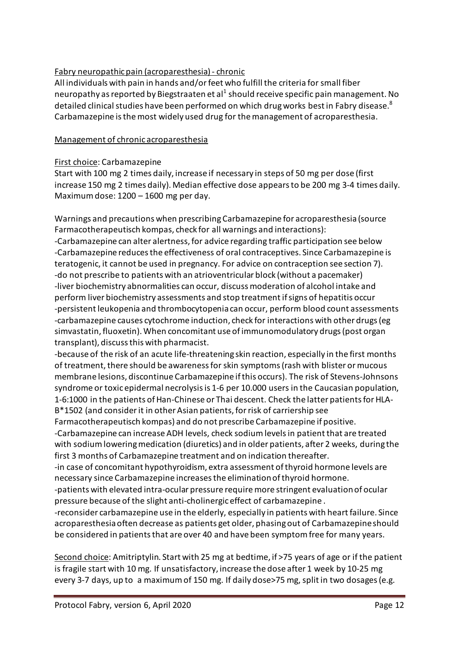## Fabry neuropathic pain (acroparesthesia)- chronic

All individuals with pain in hands and/or feet who fulfill the criteria for small fiber neuropathy as reported by Biegstraaten et al<sup>1</sup> should receive specific pain management. No detailed clinical studies have been performed on which drug works best in Fabry disease.<sup>8</sup> Carbamazepine is the most widely used drug for the management of acroparesthesia.

#### Management of chronic acroparesthesia

#### First choice: Carbamazepine

Start with 100 mg 2 times daily, increase if necessary in steps of 50 mg per dose (first increase 150 mg 2 times daily). Median effective dose appears to be 200 mg 3-4 times daily. Maximum dose: 1200 – 1600 mg per day.

Warnings and precautions when prescribing Carbamazepine for acroparesthesia (source Farmacotherapeutisch kompas, check for all warnings and interactions): -Carbamazepine can alter alertness, for advice regarding traffic participation see below -Carbamazepine reducesthe effectiveness of oral contraceptives. Since Carbamazepine is teratogenic, it cannot be used in pregnancy. For advice on contraception see section 7). -do not prescribe to patients with an atrioventricular block (without a pacemaker) -liver biochemistry abnormalities can occur, discuss moderation of alcohol intake and

perform liver biochemistry assessments and stop treatment if signs of hepatitis occur -persistent leukopenia and thrombocytopenia can occur, perform blood count assessments -carbamazepine causes cytochrome induction, check for interactions with other drugs (eg simvastatin, fluoxetin).When concomitant use ofimmunomodulatory drugs (post organ transplant), discuss this with pharmacist.

-because of the risk of an acute life-threatening skin reaction, especially in the first months of treatment, there should be awareness for skin symptoms (rash with blister or mucous membrane lesions, discontinue Carbamazepine if this occurs). The risk of Stevens-Johnsons syndrome or toxic epidermal necrolysisis 1-6 per 10.000 users in the Caucasian population, 1-6:1000 in the patients of Han-Chinese or Thai descent. Check the latter patients for HLA-B\*1502 (and consider it in other Asian patients, for risk of carriership see

Farmacotherapeutisch kompas) and do not prescribe Carbamazepine if positive.

-Carbamazepine can increase ADH levels, check sodium levelsin patient that are treated with sodium lowering medication (diuretics) and in older patients, after 2 weeks, during the first 3 months of Carbamazepine treatment and on indication thereafter.

-in case of concomitant hypothyroidism, extra assessment of thyroid hormone levels are necessary since Carbamazepine increases the elimination of thyroid hormone.

-patients with elevated intra-ocular pressure require more stringent evaluation of ocular pressure because of the slight anti-cholinergic effect of carbamazepine .

-reconsider carbamazepine use in the elderly, especially in patients with heart failure. Since acroparesthesia often decrease as patients get older, phasing out of Carbamazepine should be considered in patients that are over 40 and have been symptom free for many years.

Second choice: Amitriptylin. Start with 25 mg at bedtime, if >75 years of age or if the patient is fragile start with 10 mg. If unsatisfactory, increase the dose after 1 week by 10-25 mg every 3-7 days, up to a maximum of 150 mg. If daily dose>75 mg, split in two dosages (e.g.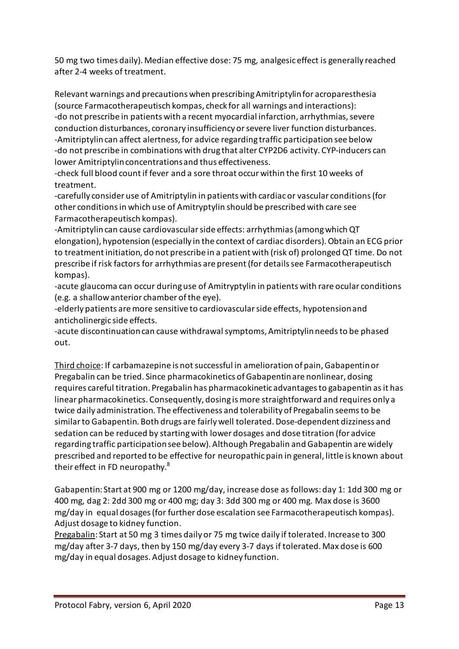50 mg two times daily). Median effective dose: 75 mg, analgesic effect is generally reached after 2-4 weeks of treatment.

Relevant warnings and precautions when prescribing Amitriptylin for acroparesthesia (source Farmacotherapeutisch kompas, check for all warnings and interactions): -do not prescribe in patients with a recent myocardial infarction, arrhythmias, severe conduction disturbances, coronary insufficiency or severe liver function disturbances. -Amitriptylin can affect alertness, for advice regarding traffic participation see below -do not prescribe in combinations with drug that alter CYP2D6 activity. CYP-inducers can lower Amitriptylinconcentrations and thus effectiveness.

-check full blood count if fever and a sore throat occur within the first 10 weeks of treatment.

-carefully consider use of Amitriptylin in patients with cardiac or vascular conditions (for other conditions in which use of Amitryptylin should be prescribed with care see Farmacotherapeutisch kompas).

-Amitriptylin can cause cardiovascular side effects: arrhythmias (among which QT elongation), hypotension (especially in the context of cardiac disorders). Obtain an ECG prior to treatment initiation, do not prescribe in a patient with (risk of) prolonged QT time. Do not prescribe if risk factors for arrhythmias are present (for details see Farmacotherapeutisch kompas).

-acute glaucoma can occur during use of Amitryptylin in patients with rare ocular conditions (e.g. a shallow anterior chamber of the eye).

-elderly patients are more sensitive to cardiovascular side effects, hypotension and anticholinergic side effects.

-acute discontinuation can cause withdrawal symptoms, Amitriptylin needs to be phased out.

Third choice: If carbamazepine is notsuccessful in amelioration of pain,Gabapentin or Pregabalin can be tried. Since pharmacokinetics of Gabapentin are nonlinear, dosing requires careful titration. Pregabalin has pharmacokinetic advantages to gabapentin as it has linear pharmacokinetics. Consequently, dosing is more straightforward and requires only a twice daily administration. The effectiveness and tolerability of Pregabalin seemsto be similar to Gabapentin. Both drugs are fairly well tolerated. Dose-dependent dizziness and sedation can be reduced by starting with lower dosages and dose titration (for advice regarding traffic participation see below). Although Pregabalin and Gabapentin are widely prescribed and reported to be effective for neuropathic pain in general, little is known about their effect in FD neuropathy.<sup>8</sup>

Gabapentin: Start at 900 mg or 1200 mg/day, increase dose as follows: day 1: 1dd 300 mg or 400 mg, dag 2: 2dd 300 mg or 400 mg; day 3: 3dd 300 mg or 400 mg. Max dose is 3600 mg/day in equal dosages (for further dose escalation see Farmacotherapeutisch kompas). Adjust dosage to kidney function.

Pregabalin: Start at 50 mg 3 times daily or 75 mg twice daily if tolerated. Increase to 300 mg/day after 3-7 days, then by 150 mg/day every 3-7 days if tolerated. Max dose is 600 mg/day in equal dosages. Adjust dosage to kidney function.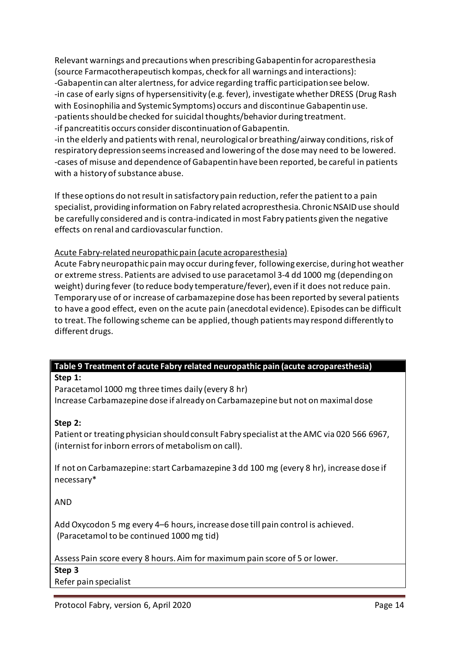Relevant warnings and precautions when prescribing Gabapentinfor acroparesthesia (source Farmacotherapeutisch kompas, check for all warnings and interactions): -Gabapentin can alter alertness, for advice regarding traffic participation see below. -in case of early signs of hypersensitivity (e.g. fever), investigate whether DRESS (Drug Rash with Eosinophilia and Systemic Symptoms) occurs and discontinue Gabapentin use. -patients should be checked for suicidal thoughts/behavior during treatment. -if pancreatitis occurs consider discontinuation of Gabapentin.

-in the elderly and patients with renal, neurological or breathing/airway conditions, risk of respiratory depression seems increased and lowering of the dose may need to be lowered. -cases of misuse and dependence of Gabapentin have been reported, be careful in patients with a history of substance abuse.

If these options do not result in satisfactory pain reduction, refer the patient to a pain specialist, providing information on Fabry related acropresthesia. Chronic NSAID use should be carefully considered and is contra-indicated in most Fabry patients given the negative effects on renal and cardiovascular function.

#### Acute Fabry-related neuropathicpain (acute acroparesthesia)

Acute Fabry neuropathicpain may occur during fever, following exercise, during hot weather or extreme stress. Patients are advised to use paracetamol 3-4 dd 1000 mg (depending on weight) during fever (to reduce body temperature/fever), even if it does not reduce pain. Temporary use of or increase of carbamazepine dose has been reported by several patients to have a good effect, even on the acute pain (anecdotal evidence). Episodes can be difficult to treat. The following scheme can be applied, though patients may respond differently to different drugs.

# **Table 9 Treatment of acute Fabry related neuropathic pain (acute acroparesthesia)**

#### **Step 1:**

Paracetamol 1000 mg three times daily (every 8 hr) Increase Carbamazepine dose if already on Carbamazepine but not on maximal dose

#### **Step 2:**

Patient or treating physician should consult Fabry specialist at the AMC via 020 566 6967, (internist for inborn errors of metabolism on call).

If not on Carbamazepine: start Carbamazepine 3 dd 100 mg (every 8 hr), increase dose if necessary\*

AND

Add Oxycodon 5 mg every 4–6 hours, increase dose till pain control is achieved. (Paracetamol to be continued 1000 mg tid)

Assess Pain score every 8 hours. Aim for maximum pain score of 5 or lower.

**Step 3**

Refer pain specialist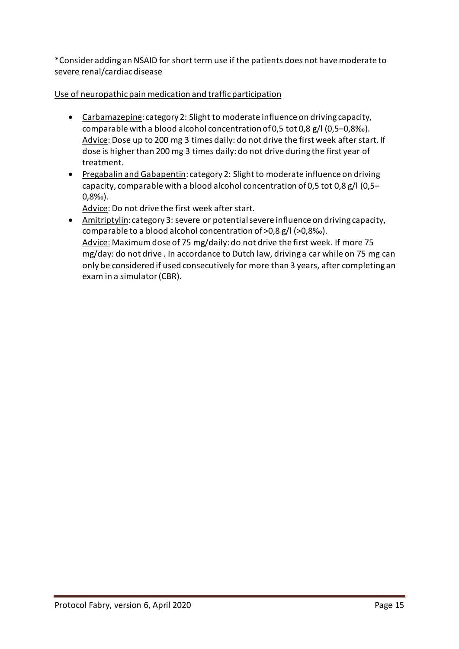\*Consider adding an NSAID for short term use if the patients does not have moderate to severe renal/cardiac disease

## Use of neuropathic pain medication and traffic participation

- Carbamazepine: category 2: Slight to moderate influence on driving capacity, comparable with a blood alcohol concentration of 0,5 tot 0,8 g/l (0,5–0,8‰). Advice: Dose up to 200 mg 3 times daily: do not drive the first week after start. If dose is higher than 200 mg 3 times daily: do not drive during the first year of treatment.
- Pregabalin and Gabapentin: category 2: Slight to moderate influence on driving capacity, comparable with a blood alcohol concentration of 0,5 tot 0,8 g/l (0,5– 0,8‰).

Advice: Do not drive the first week after start.

• Amitriptylin: category 3: severe or potential severe influence on driving capacity, comparable to a blood alcohol concentration of >0,8 g/l (>0,8‰). Advice: Maximum dose of 75 mg/daily: do not drive the first week. If more 75 mg/day: do not drive . In accordance to Dutch law, driving a car while on 75 mg can only be considered if used consecutively for more than 3 years, after completing an exam in a simulator (CBR).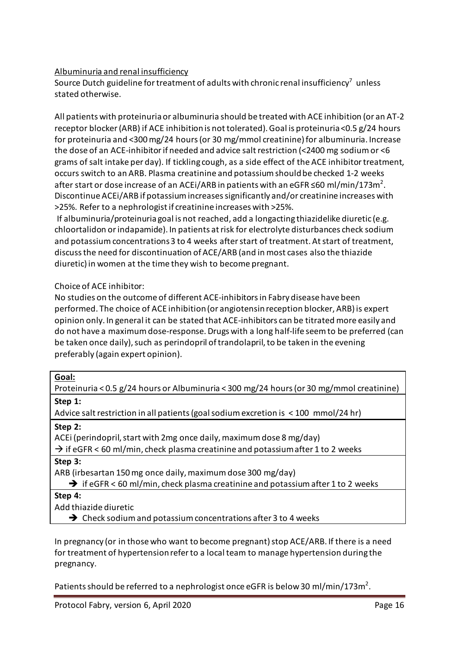## Albuminuria and renal insufficiency

Source Dutch guideline for treatment of adults with chronic renal insufficiency $^7\,$  unless stated otherwise.

All patients with proteinuria or albuminuria should be treated with ACE inhibition (or an AT-2 receptor blocker (ARB) if ACE inhibition is not tolerated). Goal is proteinuria <0.5 g/24 hours for proteinuria and <300 mg/24 hours (or 30 mg/mmol creatinine) for albuminuria. Increase the dose of an ACE-inhibitor if needed and advice salt restriction (<2400 mg sodium or <6 grams of salt intake per day). If tickling cough, as a side effect of the ACE inhibitor treatment, occurs switch to an ARB. Plasma creatinine and potassium should be checked 1-2 weeks after start or dose increase of an ACEi/ARB in patients with an eGFR ≤60 ml/min/173m<sup>2</sup>. Discontinue ACEi/ARB if potassium increases significantly and/or creatinine increases with >25%. Refer to a nephrologist if creatinine increases with >25%.

If albuminuria/proteinuria goal is not reached, add a longacting thiazidelike diuretic (e.g. chloortalidon or indapamide). In patients at risk for electrolyte disturbances check sodium and potassium concentrations3 to 4 weeks after start of treatment. At start of treatment, discuss the need for discontinuation of ACE/ARB (and in most cases also the thiazide diuretic) in women at the time they wish to become pregnant.

Choice of ACE inhibitor:

No studies on the outcome of different ACE-inhibitors in Fabry disease have been performed. The choice of ACE inhibition (or angiotensin reception blocker, ARB) is expert opinion only. In general it can be stated that ACE-inhibitors can be titrated more easily and do not have a maximum dose-response. Drugs with a long half-life seem to be preferred (can be taken once daily), such as perindopril of trandolapril, to be taken in the evening preferably (again expert opinion).

Proteinuria < 0.5 g/24 hours or Albuminuria < 300 mg/24 hours (or 30 mg/mmol creatinine) **Step 1:** 

Advice salt restriction in all patients (goal sodium excretion is < 100 mmol/24 hr)

**Step 2:** 

ACEi (perindopril, start with 2mg once daily, maximum dose 8 mg/day)

 $\rightarrow$  if eGFR < 60 ml/min, check plasma creatinine and potassium after 1 to 2 weeks **Step 3:** 

ARB (irbesartan 150mg once daily, maximumdose 300 mg/day)

 $\rightarrow$  if eGFR < 60 ml/min, check plasma creatinine and potassium after 1 to 2 weeks

**Step 4:**

Add thiazide diuretic

 $\rightarrow$  Check sodium and potassium concentrations after 3 to 4 weeks

In pregnancy (or in those who want to become pregnant) stop ACE/ARB. If there is a need for treatment of hypertensionrefer to a local team to manage hypertension during the pregnancy.

Patients should be referred to a nephrologist once eGFR is below 30 ml/min/173m<sup>2</sup>.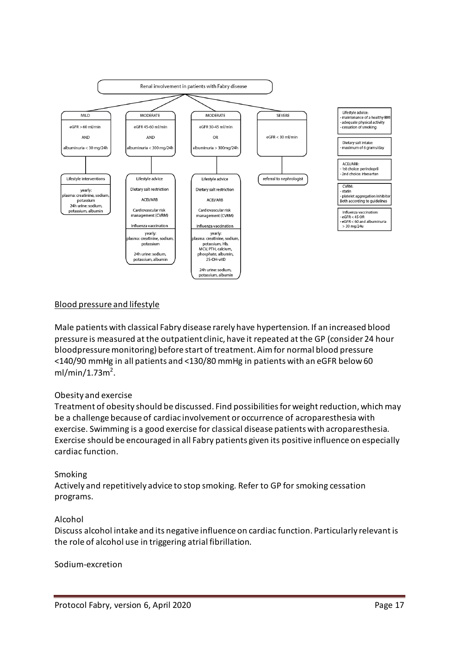

## Blood pressure and lifestyle

Male patients with classical Fabry disease rarely have hypertension. If an increased blood pressure is measured at the outpatient clinic, have it repeated at the GP (consider 24 hour bloodpressure monitoring) before start of treatment. Aim for normal blood pressure <140/90 mmHg in all patients and <130/80 mmHg in patients with an eGFR below 60  $ml/min/1.73m<sup>2</sup>$ .

#### Obesity and exercise

Treatment of obesity should be discussed. Find possibilities for weight reduction, which may be a challenge because of cardiac involvement or occurrence of acroparesthesia with exercise. Swimming is a good exercise for classical disease patients with acroparesthesia. Exercise should be encouraged in all Fabry patients given its positive influence on especially cardiac function.

#### Smoking

Actively and repetitively advice to stop smoking. Refer to GP for smoking cessation programs.

#### Alcohol

Discuss alcohol intake and its negative influence on cardiac function. Particularly relevant is the role of alcohol use in triggering atrial fibrillation.

Sodium-excretion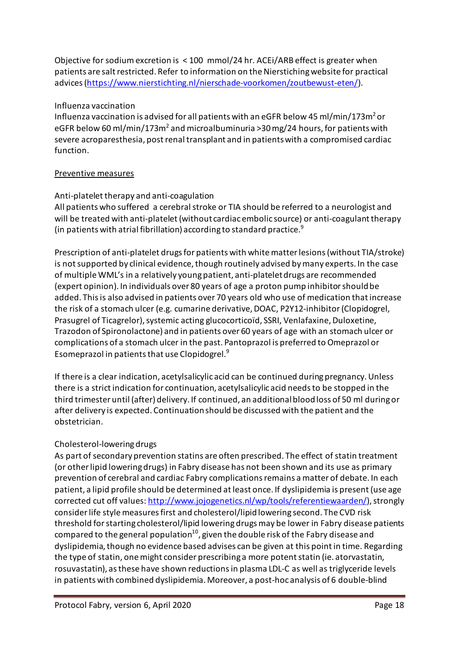Objective for sodium excretion is < 100 mmol/24 hr. ACEi/ARB effect is greater when patients are salt restricted. Refer to information on the Nierstiching website for practical advices [\(https://www.nierstichting.nl/nierschade-voorkomen/zoutbewust-eten/\)](https://www.nierstichting.nl/nierschade-voorkomen/zoutbewust-eten/).

#### Influenza vaccination

Influenza vaccination is advised for all patients with an eGFR below 45 ml/min/173m<sup>2</sup> or eGFR below 60 ml/min/173m<sup>2</sup> and microalbuminuria >30 mg/24 hours, for patients with severe acroparesthesia, post renal transplant and in patients with a compromised cardiac function.

#### Preventive measures

#### Anti-platelet therapy and anti-coagulation

All patients who suffered a cerebral stroke or TIA should be referred to a neurologist and will be treated with anti-platelet (without cardiac embolic source) or anti-coagulant therapy (in patients with atrial fibrillation) according to standard practice. $^9$ 

Prescription of anti-platelet drugs for patients with white matter lesions(without TIA/stroke) is not supported by clinical evidence, though routinely advised bymany experts. In the case of multiple WML's in a relatively young patient, anti-platelet drugs are recommended (expert opinion). In individuals over 80 years of age a proton pump inhibitor should be added. This is also advised in patients over 70 years old who use of medication that increase the risk of a stomach ulcer (e.g. cumarine derivative, DOAC, P2Y12-inhibitor (Clopidogrel, Prasugrel of Ticagrelor), systemic acting glucocorticoïd, SSRI, Venlafaxine, Duloxetine, Trazodon of Spironolactone) and in patients over 60 years of age with an stomach ulcer or complications of a stomach ulcer in the past. Pantoprazol is preferred to Omeprazol or Esomeprazol in patients that use Clopidogrel. 9

If there is a clear indication, acetylsalicylic acid can be continued during pregnancy. Unless there is a strictindication for continuation, acetylsalicylic acid needsto be stopped in the third trimester until (after) delivery. If continued, an additional blood loss of 50 ml during or after delivery is expected. Continuation should be discussed with the patient and the obstetrician.

#### Cholesterol-lowering drugs

As part of secondary prevention statins are often prescribed. The effect of statin treatment (or otherlipid loweringdrugs) in Fabry disease has not been shown and its use as primary prevention of cerebral and cardiac Fabry complicationsremains a matter of debate. In each patient, a lipid profile should be determined at least once. If dyslipidemia is present (use age corrected cut off values: [http://www.jojogenetics.nl/wp/tools/referentiewaarden/\)](http://www.jojogenetics.nl/wp/tools/referentiewaarden/), strongly consider life style measures first and cholesterol/lipid lowering second. The CVD risk threshold for starting cholesterol/lipid loweringdrugsmay be lower in Fabry disease patients compared to the general population<sup>10</sup>, given the double risk of the Fabry disease and dyslipidemia, though no evidence based advises can be given at this point in time. Regarding the type of statin, one might consider prescribing a more potent statin (ie. atorvastatin, rosuvastatin), as these have shown reductions in plasma LDL-C as well as triglyceride levels in patients with combined dyslipidemia. Moreover, a post-hoc analysis of 6 double-blind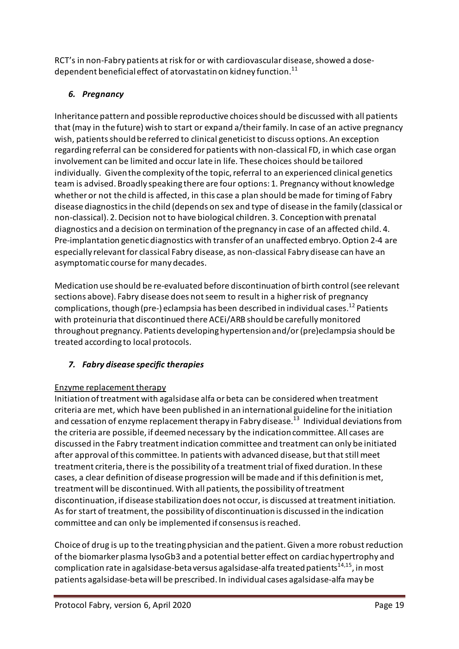RCT's in non-Fabry patients at risk for or with cardiovascular disease, showed a dosedependent beneficial effect of atorvastatin on kidney function.<sup>11</sup>

# *6. Pregnancy*

Inheritance pattern and possible reproductive choices should be discussed with all patients that (may in the future) wish to start or expand a/theirfamily. In case of an active pregnancy wish, patients should be referred to clinical geneticist to discuss options. An exception regarding referral can be considered for patients with non-classical FD, in which case organ involvement can be limited and occur late in life. These choices should be tailored individually. Given the complexity of the topic, referral to an experienced clinical genetics team is advised. Broadly speaking there are four options: 1. Pregnancy without knowledge whether or not the child is affected, in this case a plan should be made for timing of Fabry disease diagnosticsin the child (depends on sex and type of disease in the family (classical or non-classical). 2. Decision not to have biological children. 3. Conception with prenatal diagnostics and a decision on termination of the pregnancy in case of an affected child. 4. Pre-implantation genetic diagnostics with transfer of an unaffected embryo. Option 2-4 are especially relevant for classical Fabry disease, as non-classical Fabry disease can have an asymptomatic course for many decades.

Medication use should be re-evaluated before discontinuation of birth control (see relevant sections above). Fabry disease does not seem to result in a higher risk of pregnancy complications, though (pre-) eclampsia has been described in individual cases.<sup>12</sup> Patients with proteinuria that discontinued there ACEi/ARB should be carefully monitored throughout pregnancy. Patients developing hypertension and/or (pre)eclampsia should be treated according to local protocols.

# *7. Fabry disease specific therapies*

# Enzyme replacement therapy

Initiation of treatment with agalsidase alfa or beta can be considered when treatment criteria are met, which have been published in an international guideline for the initiation and cessation of enzyme replacement therapy in Fabry disease.<sup>13</sup> Individual deviations from the criteria are possible, if deemed necessary by the indication committee. All cases are discussed in the Fabry treatmentindication committee and treatment can only be initiated after approval of this committee. In patients with advanced disease, but that still meet treatment criteria, there is the possibility of a treatment trial of fixed duration. In these cases, a clear definition of disease progression will be made and if this definition is met, treatment will be discontinued. With all patients, the possibility of treatment discontinuation, if disease stabilization does not occur, is discussed at treatment initiation. As for start of treatment, the possibility of discontinuation is discussed in the indication committee and can only be implemented if consensus is reached.

Choice of drug is up to the treating physician and the patient. Given a more robust reduction of the biomarker plasma lysoGb3 and a potential better effect on cardiac hypertrophy and complication rate in agalsidase-beta versus agalsidase-alfa treated patients<sup>14,15</sup>, in most patients agalsidase-beta will be prescribed. In individual cases agalsidase-alfa may be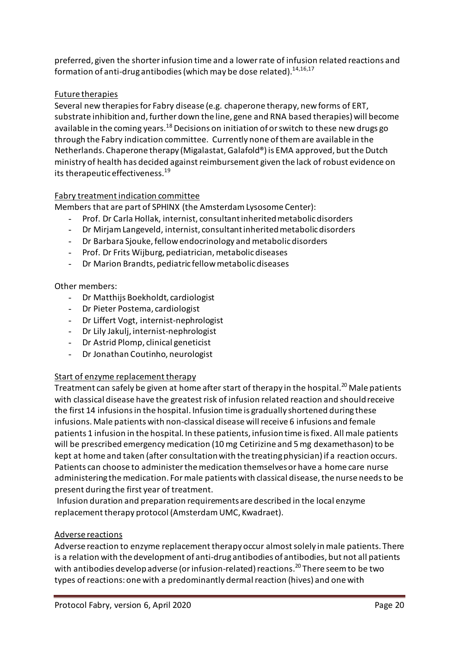preferred, given the shorter infusion time and a lower rate of infusion related reactions and formation of anti-drug antibodies (which may be dose related).  $^{14,16,17}$ 

#### Future therapies

Several new therapies for Fabry disease (e.g. chaperone therapy, new forms of ERT, substrate inhibition and, further down the line, gene and RNA based therapies) will become available in the coming years.<sup>18</sup> Decisions on initiation of or switch to these new drugs go through the Fabry indication committee. Currently none of them are available in the Netherlands. Chaperone therapy (Migalastat, Galafold®) is EMA approved, but the Dutch ministry of health has decided against reimbursement given the lack of robust evidence on its therapeutic effectiveness. 19

#### Fabry treatment indication committee

Members that are part of SPHINX (the Amsterdam Lysosome Center):

- Prof. Dr Carla Hollak, internist, consultant inherited metabolic disorders
- Dr Mirjam Langeveld, internist, consultant inherited metabolic disorders
- Dr Barbara Sjouke, fellow endocrinology and metabolic disorders
- Prof. Dr Frits Wijburg, pediatrician, metabolic diseases
- Dr Marion Brandts, pediatric fellowmetabolic diseases

#### Other members:

- Dr Matthijs Boekholdt, cardiologist
- Dr Pieter Postema, cardiologist
- Dr Liffert Vogt, internist-nephrologist
- Dr Lily Jakulj, internist-nephrologist
- Dr Astrid Plomp, clinical geneticist
- Dr Jonathan Coutinho, neurologist

#### Start of enzyme replacement therapy

Treatment can safely be given at home after start of therapy in the hospital.<sup>20</sup> Male patients with classical disease have the greatest risk of infusion related reaction and should receive the first 14 infusions in the hospital. Infusion time is gradually shortened during these infusions. Male patients with non-classical disease will receive 6 infusions and female patients 1 infusion in the hospital. In these patients, infusion time is fixed. All male patients will be prescribed emergency medication (10 mg Cetirizine and 5 mg dexamethason) to be kept at home and taken (after consultation with the treating physician) if a reaction occurs. Patients can choose to administer the medication themselves or have a home care nurse administering the medication. For male patients with classical disease, the nurse needsto be present during the first year of treatment.

Infusion duration and preparation requirements are described in the local enzyme replacement therapy protocol (Amsterdam UMC, Kwadraet).

#### Adverse reactions

Adverse reaction to enzyme replacement therapy occur almost solely in male patients. There is a relation with the development of anti-drug antibodies of antibodies, but not all patients with antibodies develop adverse (or infusion-related) reactions. <sup>20</sup> There seem to be two types of reactions: one with a predominantly dermal reaction (hives) and one with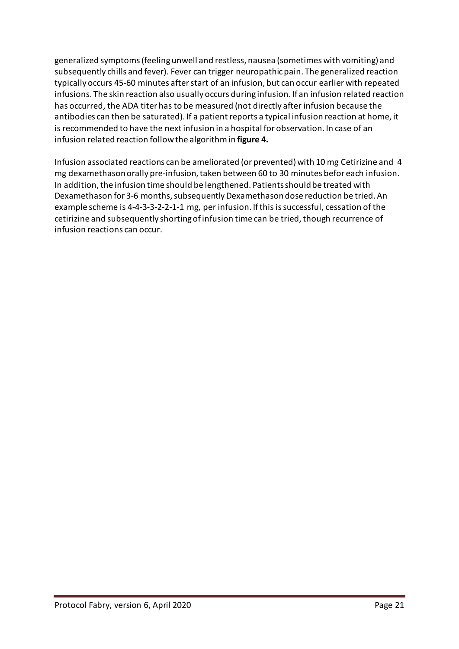generalized symptoms (feeling unwell and restless, nausea (sometimes with vomiting) and subsequently chills and fever). Fever can trigger neuropathic pain. The generalized reaction typically occurs 45-60 minutes after start of an infusion, but can occur earlier with repeated infusions. The skin reaction also usually occurs during infusion. If an infusion related reaction has occurred, the ADA titer has to be measured (not directly after infusion because the antibodies can then be saturated). If a patient reports a typical infusion reaction at home, it is recommended to have the next infusion in a hospital for observation. In case of an infusion related reaction follow the algorithm in **figure 4.**

Infusion associated reactions can be ameliorated (or prevented) with 10 mg Cetirizine and 4 mg dexamethason orally pre-infusion,taken between 60 to 30 minutes befor each infusion. In addition, the infusion time should be lengthened. Patients should be treated with Dexamethason for 3-6 months, subsequently Dexamethason dose reduction be tried. An example scheme is 4-4-3-3-2-2-1-1 mg, per infusion. If this is successful, cessation of the cetirizine and subsequently shorting of infusion time can be tried, though recurrence of infusion reactions can occur.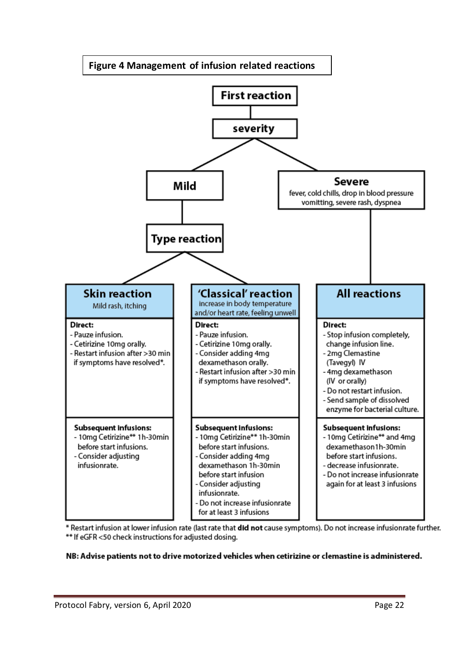

\* Restart infusion at lower infusion rate (last rate that did not cause symptoms). Do not increase infusionrate further. \*\* If eGFR <50 check instructions for adjusted dosing.

#### NB: Advise patients not to drive motorized vehicles when cetirizine or clemastine is administered.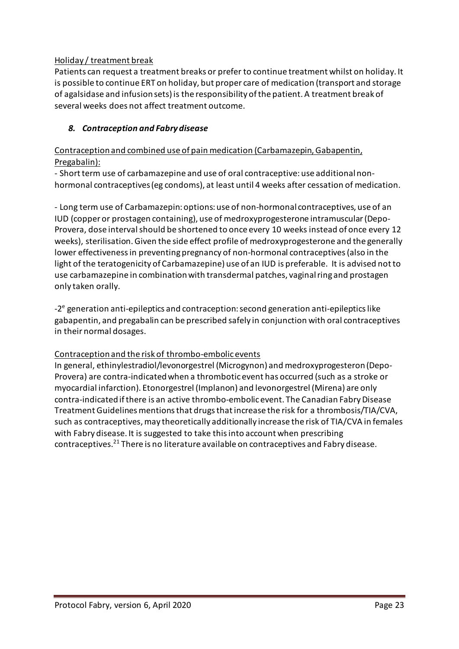## Holiday / treatment break

Patients can request a treatment breaks or prefer to continue treatment whilst on holiday. It is possible to continue ERT on holiday, but proper care of medication (transport and storage of agalsidase and infusion sets) is the responsibility of the patient. A treatment break of several weeks does not affect treatment outcome.

## *8. Contraception and Fabry disease*

Contraception and combined use of pain medication (Carbamazepin, Gabapentin, Pregabalin):

- Short term use of carbamazepine and use of oral contraceptive: use additional nonhormonal contraceptives (eg condoms), at least until 4 weeks after cessation of medication.

- Long term use of Carbamazepin: options: use of non-hormonal contraceptives, use of an IUD (copper or prostagen containing), use of medroxyprogesterone intramuscular(Depo-Provera, dose interval should be shortened to once every 10 weeks instead of once every 12 weeks), sterilisation. Given the side effect profile of medroxyprogesterone and the generally lower effectivenessin preventing pregnancy of non-hormonal contraceptives (also in the light of the teratogenicity of Carbamazepine) use of an IUD is preferable. It is advised not to use carbamazepine in combination with transdermal patches, vaginalring and prostagen only taken orally.

-2<sup>e</sup> generation anti-epileptics and contraception: second generation anti-epileptics like gabapentin, and pregabalin can be prescribed safely in conjunction with oral contraceptives in their normal dosages.

#### Contraception and the risk of thrombo-embolic events

In general, ethinylestradiol/levonorgestrel (Microgynon) and medroxyprogesteron (Depo-Provera) are contra-indicated when a thrombotic event has occurred (such as a stroke or myocardial infarction). Etonorgestrel (Implanon) and levonorgestrel (Mirena) are only contra-indicated if there is an active thrombo-embolic event. The Canadian Fabry Disease Treatment Guidelines mentions that drugs that increase the risk for a thrombosis/TIA/CVA, such as contraceptives, may theoretically additionally increase the risk of TIA/CVA in females with Fabry disease. It is suggested to take this into account when prescribing contraceptives. <sup>21</sup> There is no literature available on contraceptives and Fabry disease.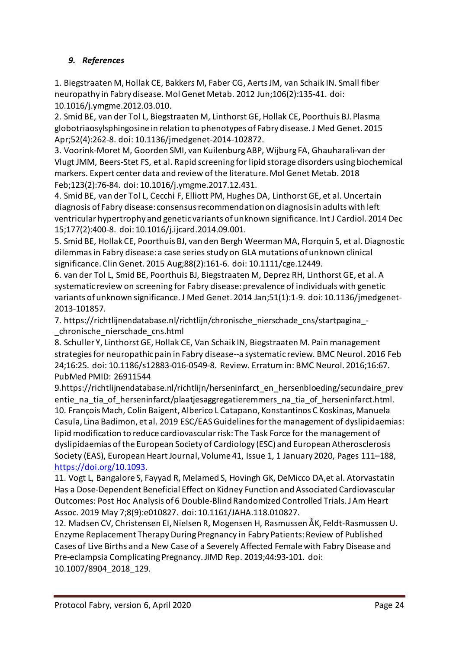## *9. References*

1. Biegstraaten M, Hollak CE, Bakkers M, Faber CG, Aerts JM, van Schaik IN. Small fiber neuropathy in Fabry disease. Mol Genet Metab. 2012 Jun;106(2):135-41. doi: 10.1016/j.ymgme.2012.03.010.

2. Smid BE, van der Tol L, Biegstraaten M, Linthorst GE, Hollak CE, Poorthuis BJ. Plasma globotriaosylsphingosine in relation to phenotypes of Fabry disease. J Med Genet. 2015 Apr;52(4):262-8. doi: 10.1136/jmedgenet-2014-102872.

3. Voorink-Moret M, Goorden SMI, van Kuilenburg ABP, Wijburg FA, Ghauharali-van der Vlugt JMM, Beers-Stet FS, et al. Rapid screening for lipid storage disorders using biochemical markers. Expert center data and review of the literature. Mol Genet Metab. 2018 Feb;123(2):76-84. doi: 10.1016/j.ymgme.2017.12.431.

4. Smid BE, van der Tol L, Cecchi F, Elliott PM, Hughes DA, Linthorst GE, et al. Uncertain diagnosis of Fabry disease: consensus recommendation on diagnosis in adults with left ventricular hypertrophy and genetic variants of unknown significance. Int J Cardiol. 2014 Dec 15;177(2):400-8. doi: 10.1016/j.ijcard.2014.09.001.

5. Smid BE, Hollak CE, Poorthuis BJ, van den Bergh Weerman MA, Florquin S, et al. Diagnostic dilemmas in Fabry disease: a case series study on GLA mutations of unknown clinical significance. Clin Genet. 2015 Aug;88(2):161-6. doi: 10.1111/cge.12449.

6. van der Tol L, Smid BE, Poorthuis BJ, Biegstraaten M, Deprez RH, Linthorst GE, et al. A systematic review on screening for Fabry disease: prevalence of individuals with genetic variants of unknown significance. J Med Genet. 2014 Jan;51(1):1-9. doi: 10.1136/jmedgenet-2013-101857.

7. [https://richtlijnendatabase.nl/richtlijn/chronische\\_nierschade\\_cns/startpagina\\_-](https://richtlijnendatabase.nl/richtlijn/chronische_nierschade_cns/startpagina_-_chronische_nierschade_cns.html) [\\_chronische\\_nierschade\\_cns.html](https://richtlijnendatabase.nl/richtlijn/chronische_nierschade_cns/startpagina_-_chronische_nierschade_cns.html)

8. Schuller Y, Linthorst GE, Hollak CE, Van Schaik IN, Biegstraaten M. Pain management strategies for neuropathic pain in Fabry disease--a systematic review. BMC Neurol. 2016 Feb 24;16:25. doi: 10.1186/s12883-016-0549-8. Review. Erratumin: BMC Neurol. 2016;16:67. PubMed PMID: 26911544

9.https://richtlijnendatabase.nl/richtlijn/herseninfarct\_en\_hersenbloeding/secundaire\_prev entie na tia of herseninfarct/plaatjesaggregatieremmers na tia of herseninfarct.html. 10. François Mach, Colin Baigent, Alberico L Catapano, Konstantinos C Koskinas, Manuela Casula, Lina Badimon, et al. 2019 ESC/EAS Guidelines for the management of dyslipidaemias: lipid modification to reduce cardiovascular risk: The Task Force for the management of dyslipidaemias of the European Society of Cardiology (ESC) and European Atherosclerosis Society (EAS), European Heart Journal, Volume 41, Issue 1, 1 January 2020, Pages 111–188, [https://doi.org/10.1093.](https://doi.org/10.1093)

11. Vogt L, Bangalore S, Fayyad R, Melamed S, Hovingh GK, DeMicco DA,et al. Atorvastatin Has a Dose-Dependent Beneficial Effect on Kidney Function and Associated Cardiovascular Outcomes: Post Hoc Analysis of 6 Double-BlindRandomized Controlled Trials. J Am Heart Assoc. 2019 May 7;8(9):e010827. doi: 10.1161/JAHA.118.010827.

12. Madsen CV, Christensen EI, Nielsen R, Mogensen H, Rasmussen ÅK, Feldt-Rasmussen U. Enzyme Replacement Therapy During Pregnancy in Fabry Patients: Review of Published Cases of Live Births and a New Case of a Severely Affected Female with Fabry Disease and Pre-eclampsia Complicating Pregnancy. JIMD Rep. 2019;44:93-101. doi: 10.1007/8904\_2018\_129.